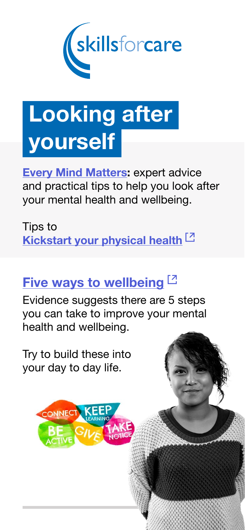

# Looking after yourself

**[Every Mind Matters:](https://www.nhs.uk/oneyou/every-mind-matters/) expert advice** and practical tips to help you look after your mental health and wellbeing.

[Tips to](https://www.nhs.uk/better-health/)  [Kickstart your physical health](https://www.nhs.uk/better-health/)<sup>[2]</sup>

## [Five ways to wellbeing](https://www.nhs.uk/mental-health/self-help/guides-tools-and-activities/five-steps-to-mental-wellbeing/)  $[2]$

Evidence suggests there are 5 steps you can take to improve your mental health and wellbeing.

Try to build these into your day to day life.

CONNECT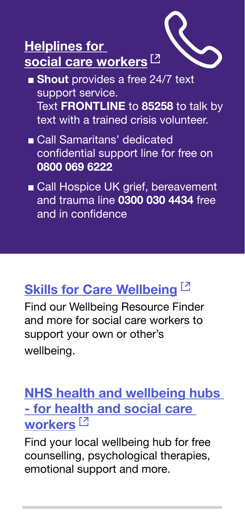

- Shout provides a free 24/7 text support service. Text FRONTLINE to 85258 to talk by text with a trained crisis volunteer.
- Call Samaritans' dedicated confidential support line for free on 0800 069 6222
- Call Hospice UK grief, bereavement and trauma line 0300 030 4434 free and in confidence

## [Skills for Care Wellbeing](https://www.skillsforcare.org.uk/Leadership-management/managing-people/Wellbeing/Wellbeing.aspx)<sup>[2]</sup>

Find our Wellbeing Resource Finder and more for social care workers to support your own or other's wellbeing.

#### [NHS health and wellbeing hubs](https://www.england.nhs.uk/supporting-our-nhs-people/support-now/staff-mental-health-and-wellbeing-hubs/)  [- for health and social care](https://www.england.nhs.uk/supporting-our-nhs-people/support-now/staff-mental-health-and-wellbeing-hubs/)  [workers](https://www.england.nhs.uk/supporting-our-nhs-people/support-now/staff-mental-health-and-wellbeing-hubs/)<sup>[2]</sup>

Find your local wellbeing hub for free counselling, psychological therapies, emotional support and more.